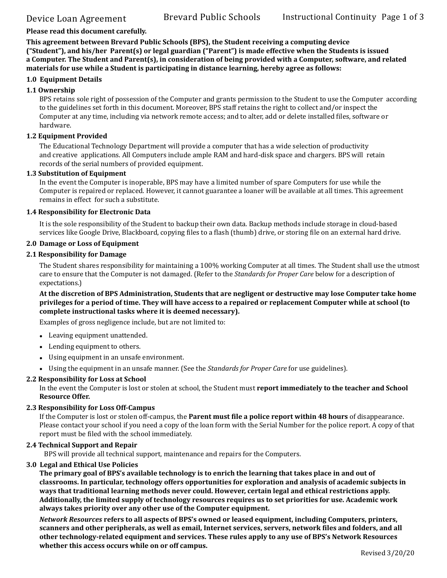# **Please read this document carefully.**

**This agreement between Brevard Public Schools (BPS), the Student receiving a computing device** ("Student"), and his/her Parent(s) or legal guardian ("Parent") is made effective when the Students is issued a Computer. The Student and Parent(s), in consideration of being provided with a Computer, software, and related **materials for use while a Student is participating in distance learning, hereby agree as follows:** 

# **1.0 Equipment Details**

# **1.1 Ownership**

BPS retains sole right of possession of the Computer and grants permission to the Student to use the Computer according to the guidelines set forth in this document. Moreover, BPS staff retains the right to collect and/or inspect the Computer at any time, including via network remote access; and to alter, add or delete installed files, software or hardware. 

#### **1.2 Equipment Provided**

The Educational Technology Department will provide a computer that has a wide selection of productivity and creative applications. All Computers include ample RAM and hard-disk space and chargers. BPS will retain records of the serial numbers of provided equipment.

#### **1.3 Substitution of Equipment**

In the event the Computer is inoperable, BPS may have a limited number of spare Computers for use while the Computer is repaired or replaced. However, it cannot guarantee a loaner will be available at all times. This agreement remains in effect for such a substitute.

#### **1.4 Responsibility for Electronic Data**

It is the sole responsibility of the Student to backup their own data. Backup methods include storage in cloud-based services like Google Drive, Blackboard, copying files to a flash (thumb) drive, or storing file on an external hard drive.

#### **2.0 Damage or Loss of Equipment**

#### **2.1 Responsibility for Damage**

The Student shares responsibility for maintaining a 100% working Computer at all times. The Student shall use the utmost care to ensure that the Computer is not damaged. (Refer to the *Standards for Proper Care* below for a description of expectations.) 

At the discretion of BPS Administration, Students that are negligent or destructive may lose Computer take home **privileges for a period of time. They will have access to a repaired or replacement Computer while at school (to** complete instructional tasks where it is deemed necessary).

Examples of gross negligence include, but are not limited to:

- Leaving equipment unattended.
- Lending equipment to others.
- Using equipment in an unsafe environment.
- Using the equipment in an unsafe manner. (See the *Standards for Proper Care* for use guidelines).

#### **2.2 Responsibility for Loss at School**

In the event the Computer is lost or stolen at school, the Student must **report immediately to the teacher and School Resource Offer.**

# **2.3 Responsibility for Loss Off-Campus**

If the Computer is lost or stolen off-campus, the **Parent must file a police report within 48 hours** of disappearance. Please contact your school if you need a copy of the loan form with the Serial Number for the police report. A copy of that report must be filed with the school immediately.

# **2.4 Technical Support and Repair**

BPS will provide all technical support, maintenance and repairs for the Computers.

#### **3.0 Legal and Ethical Use Policies**

The primary goal of BPS's available technology is to enrich the learning that takes place in and out of classrooms. In particular, technology offers opportunities for exploration and analysis of academic subjects in ways that traditional learning methods never could. However, certain legal and ethical restrictions apply. Additionally, the limited supply of technology resources requires us to set priorities for use. Academic work always takes priority over any other use of the Computer equipment.

*Network Resources* **refers to all aspects of BPS's owned or leased equipment, including Computers, printers,**  scanners and other peripherals, as well as email, Internet services, servers, network files and folders, and all **other technology-related equipment and services. These rules apply to any use of BPS's Network Resources** whether this access occurs while on or off campus.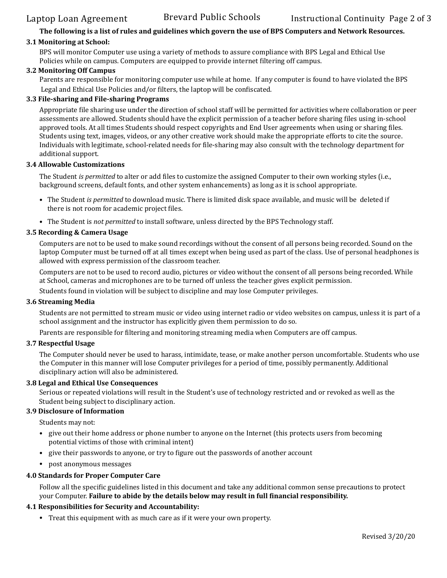# The following is a list of rules and guidelines which govern the use of BPS Computers and Network Resources.

#### **3.1 Monitoring at School:**

BPS will monitor Computer use using a variety of methods to assure compliance with BPS Legal and Ethical Use Policies while on campus. Computers are equipped to provide internet filtering off campus.

#### **3.2 Monitoring Off Campus**

Parents are responsible for monitoring computer use while at home. If any computer is found to have violated the BPS Legal and Ethical Use Policies and/or filters, the laptop will be confiscated.

#### **3.3 File-sharing and File-sharing Programs**

Appropriate file sharing use under the direction of school staff will be permitted for activities where collaboration or peer assessments are allowed. Students should have the explicit permission of a teacher before sharing files using in-school approved tools. At all times Students should respect copyrights and End User agreements when using or sharing files. Students using text, images, videos, or any other creative work should make the appropriate efforts to cite the source. Individuals with legitimate, school-related needs for file-sharing may also consult with the technology department for additional support.

#### **3.4 Allowable Customizations**

The Student *is permitted* to alter or add files to customize the assigned Computer to their own working styles (i.e., background screens, default fonts, and other system enhancements) as long as it is school appropriate.

- The Student *is permitted* to download music. There is limited disk space available, and music will be deleted if there is not room for academic project files.
- The Student is *not permitted* to install software, unless directed by the BPS Technology staff.

#### **3.5 Recording & Camera Usage**

Computers are not to be used to make sound recordings without the consent of all persons being recorded. Sound on the laptop Computer must be turned off at all times except when being used as part of the class. Use of personal headphones is allowed with express permission of the classroom teacher.

Computers are not to be used to record audio, pictures or video without the consent of all persons being recorded. While at School, cameras and microphones are to be turned off unless the teacher gives explicit permission.

Students found in violation will be subject to discipline and may lose Computer privileges.

#### **3.6 Streaming Media**

Students are not permitted to stream music or video using internet radio or video websites on campus, unless it is part of a school assignment and the instructor has explicitly given them permission to do so.

Parents are responsible for filtering and monitoring streaming media when Computers are off campus.

#### **3.7 Respectful Usage**

The Computer should never be used to harass, intimidate, tease, or make another person uncomfortable. Students who use the Computer in this manner will lose Computer privileges for a period of time, possibly permanently. Additional disciplinary action will also be administered.

#### **3.8 Legal and Ethical Use Consequences**

Serious or repeated violations will result in the Student's use of technology restricted and or revoked as well as the Student being subject to disciplinary action.

#### **3.9 Disclosure of Information**

Students may not:

- give out their home address or phone number to anyone on the Internet (this protects users from becoming potential victims of those with criminal intent)
- give their passwords to anyone, or try to figure out the passwords of another account
- post anonymous messages

#### **4.0 Standards for Proper Computer Care**

Follow all the specific guidelines listed in this document and take any additional common sense precautions to protect your Computer. Failure to abide by the details below may result in full financial responsibility.

#### **4.1 Responsibilities for Security and Accountability:**

• Treat this equipment with as much care as if it were your own property.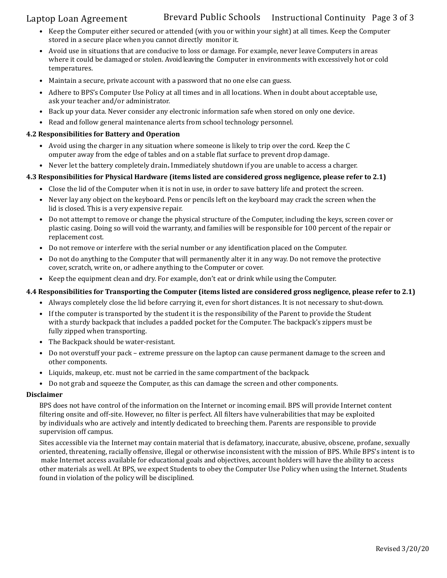# Laptop Loan Agreement Brevard Public Schools Instructional Continuity Page 3 of 3

- Keep the Computer either secured or attended (with you or within your sight) at all times. Keep the Computer stored in a secure place when you cannot directly monitor it.
- Avoid use in situations that are conducive to loss or damage. For example, never leave Computers in areas where it could be damaged or stolen. Avoid leaving the Computer in environments with excessively hot or cold temperatures.
- Maintain a secure, private account with a password that no one else can guess.
- Adhere to BPS's Computer Use Policy at all times and in all locations. When in doubt about acceptable use, ask your teacher and/or administrator.
- Back up your data. Never consider any electronic information safe when stored on only one device.
- Read and follow general maintenance alerts from school technology personnel.

#### **4.2 Responsibilities for Battery and Operation**

- Avoid using the charger in any situation where someone is likely to trip over the cord. Keep the C omputer away from the edge of tables and on a stable flat surface to prevent drop damage.
- Never let the battery completely drain. Immediately shutdown if you are unable to access a charger.

# **4.3** Responsibilities for Physical Hardware (items listed are considered gross negligence, please refer to 2.1)

- Close the lid of the Computer when it is not in use, in order to save battery life and protect the screen.
- Never lay any object on the keyboard. Pens or pencils left on the keyboard may crack the screen when the lid is closed. This is a very expensive repair.
- Do not attempt to remove or change the physical structure of the Computer, including the keys, screen cover or plastic casing. Doing so will void the warranty, and families will be responsible for 100 percent of the repair or replacement cost.
- Do not remove or interfere with the serial number or any identification placed on the Computer.
- Do not do anything to the Computer that will permanently alter it in any way. Do not remove the protective cover, scratch, write on, or adhere anything to the Computer or cover.
- Keep the equipment clean and dry. For example, don't eat or drink while using the Computer.

# **4.4** Responsibilities for Transporting the Computer (items listed are considered gross negligence, please refer to 2.1)

- Always completely close the lid before carrying it, even for short distances. It is not necessary to shut-down.
- If the computer is transported by the student it is the responsibility of the Parent to provide the Student with a sturdy backpack that includes a padded pocket for the Computer. The backpack's zippers must be fully zipped when transporting.
- The Backpack should be water-resistant.
- Do not overstuff your pack extreme pressure on the laptop can cause permanent damage to the screen and other components.
- Liquids, makeup, etc. must not be carried in the same compartment of the backpack.
- Do not grab and squeeze the Computer, as this can damage the screen and other components.

#### **Disclaimer**

BPS does not have control of the information on the Internet or incoming email. BPS will provide Internet content filtering onsite and off-site. However, no filter is perfect. All filters have vulnerabilities that may be exploited by individuals who are actively and intently dedicated to breeching them. Parents are responsible to provide supervision off campus.

Sites accessible via the Internet may contain material that is defamatory, inaccurate, abusive, obscene, profane, sexually oriented, threatening, racially offensive, illegal or otherwise inconsistent with the mission of BPS. While BPS's intent is to make Internet access available for educational goals and objectives, account holders will have the ability to access other materials as well. At BPS, we expect Students to obey the Computer Use Policy when using the Internet. Students found in violation of the policy will be disciplined.